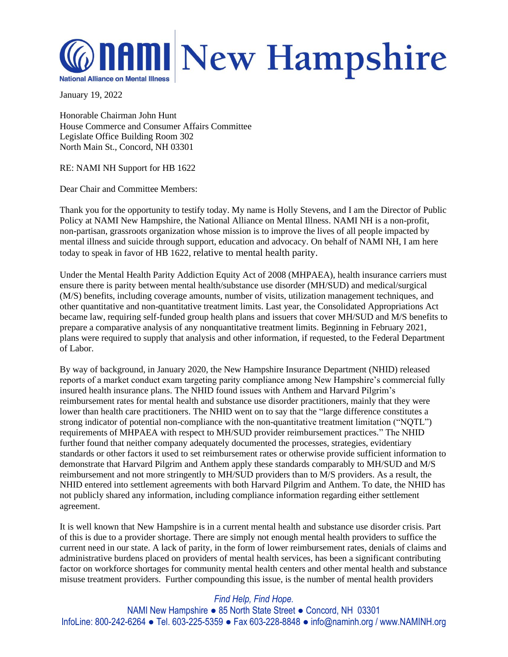## **MAMI New Hampshire National Alliance on Mental Illness**

January 19, 2022

Honorable Chairman John Hunt House Commerce and Consumer Affairs Committee Legislate Office Building Room 302 North Main St., Concord, NH 03301

RE: NAMI NH Support for HB 1622

Dear Chair and Committee Members:

Thank you for the opportunity to testify today. My name is Holly Stevens, and I am the Director of Public Policy at NAMI New Hampshire, the National Alliance on Mental Illness. NAMI NH is a non-profit, non-partisan, grassroots organization whose mission is to improve the lives of all people impacted by mental illness and suicide through support, education and advocacy. On behalf of NAMI NH, I am here today to speak in favor of HB 1622, relative to mental health parity.

Under the Mental Health Parity Addiction Equity Act of 2008 (MHPAEA), health insurance carriers must ensure there is parity between mental health/substance use disorder (MH/SUD) and medical/surgical (M/S) benefits, including coverage amounts, number of visits, utilization management techniques, and other quantitative and non-quantitative treatment limits. Last year, the Consolidated Appropriations Act became law, requiring self-funded group health plans and issuers that cover MH/SUD and M/S benefits to prepare a comparative analysis of any nonquantitative treatment limits. Beginning in February 2021, plans were required to supply that analysis and other information, if requested, to the Federal Department of Labor.

By way of background, in January 2020, the New Hampshire Insurance Department (NHID) released reports of a market conduct exam targeting parity compliance among New Hampshire's commercial fully insured health insurance plans. The NHID found issues with Anthem and Harvard Pilgrim's reimbursement rates for mental health and substance use disorder practitioners, mainly that they were lower than health care practitioners. The NHID went on to say that the "large difference constitutes a strong indicator of potential non-compliance with the non-quantitative treatment limitation ("NQTL") requirements of MHPAEA with respect to MH/SUD provider reimbursement practices." The NHID further found that neither company adequately documented the processes, strategies, evidentiary standards or other factors it used to set reimbursement rates or otherwise provide sufficient information to demonstrate that Harvard Pilgrim and Anthem apply these standards comparably to MH/SUD and M/S reimbursement and not more stringently to MH/SUD providers than to M/S providers. As a result, the NHID entered into settlement agreements with both Harvard Pilgrim and Anthem. To date, the NHID has not publicly shared any information, including compliance information regarding either settlement agreement.

It is well known that New Hampshire is in a current mental health and substance use disorder crisis. Part of this is due to a provider shortage. There are simply not enough mental health providers to suffice the current need in our state. A lack of parity, in the form of lower reimbursement rates, denials of claims and administrative burdens placed on providers of mental health services, has been a significant contributing factor on workforce shortages for community mental health centers and other mental health and substance misuse treatment providers. Further compounding this issue, is the number of mental health providers

## *Find Help, Find Hope.*

NAMI New Hampshire ● 85 North State Street ● Concord, NH 03301 InfoLine: 800-242-6264 ● Tel. 603-225-5359 ● Fax 603-228-8848 ● info@naminh.org / www.NAMINH.org